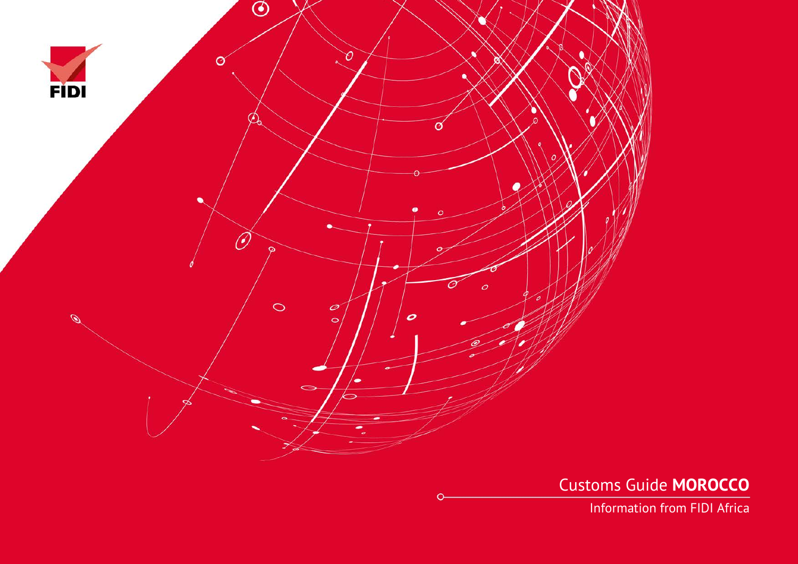

Customs Guide **MOROCCO**

Information from FIDI Africa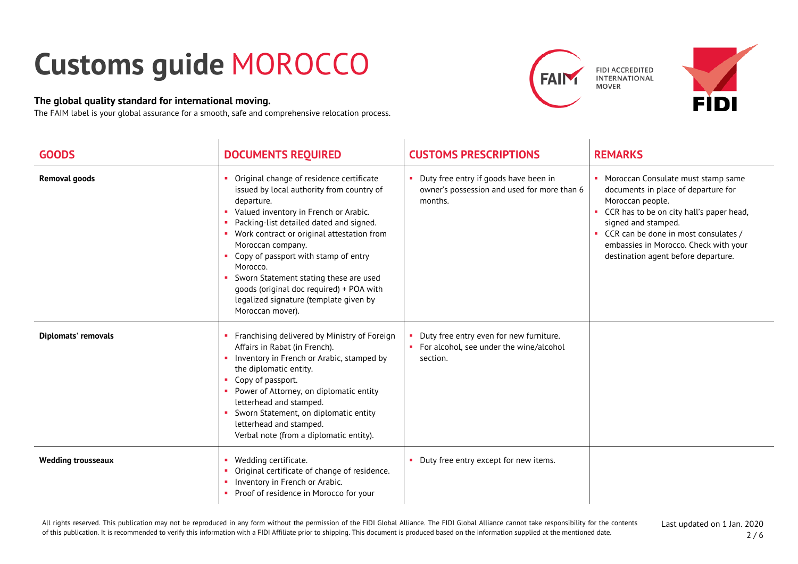## **Customs guide** MOROCCO

## **The global quality standard for international moving.**

The FAIM label is your global assurance for a smooth, safe and comprehensive relocation process.





| <b>GOODS</b>              | <b>DOCUMENTS REQUIRED</b>                                                                                                                                                                                                                                                                                                                                                                                                                                            | <b>CUSTOMS PRESCRIPTIONS</b>                                                                     | <b>REMARKS</b>                                                                                                                                                                                                                                                                                 |
|---------------------------|----------------------------------------------------------------------------------------------------------------------------------------------------------------------------------------------------------------------------------------------------------------------------------------------------------------------------------------------------------------------------------------------------------------------------------------------------------------------|--------------------------------------------------------------------------------------------------|------------------------------------------------------------------------------------------------------------------------------------------------------------------------------------------------------------------------------------------------------------------------------------------------|
| <b>Removal goods</b>      | Original change of residence certificate<br>issued by local authority from country of<br>departure.<br>Valued inventory in French or Arabic.<br>Packing-list detailed dated and signed.<br>• Work contract or original attestation from<br>Moroccan company.<br>Copy of passport with stamp of entry<br>Morocco.<br>Sworn Statement stating these are used<br>goods (original doc required) + POA with<br>legalized signature (template given by<br>Moroccan mover). | Duty free entry if goods have been in<br>owner's possession and used for more than 6<br>months.  | • Moroccan Consulate must stamp same<br>documents in place of departure for<br>Moroccan people.<br>• CCR has to be on city hall's paper head,<br>signed and stamped.<br>• CCR can be done in most consulates /<br>embassies in Morocco. Check with your<br>destination agent before departure. |
| Diplomats' removals       | Franchising delivered by Ministry of Foreign<br>Affairs in Rabat (in French).<br>Inventory in French or Arabic, stamped by<br>the diplomatic entity.<br>Copy of passport.<br>Power of Attorney, on diplomatic entity<br>letterhead and stamped.<br>Sworn Statement, on diplomatic entity<br>letterhead and stamped.<br>Verbal note (from a diplomatic entity).                                                                                                       | Duty free entry even for new furniture.<br>• For alcohol, see under the wine/alcohol<br>section. |                                                                                                                                                                                                                                                                                                |
| <b>Wedding trousseaux</b> | Wedding certificate.<br>Original certificate of change of residence.<br>Inventory in French or Arabic.<br>п.<br>Proof of residence in Morocco for your                                                                                                                                                                                                                                                                                                               | Duty free entry except for new items.                                                            |                                                                                                                                                                                                                                                                                                |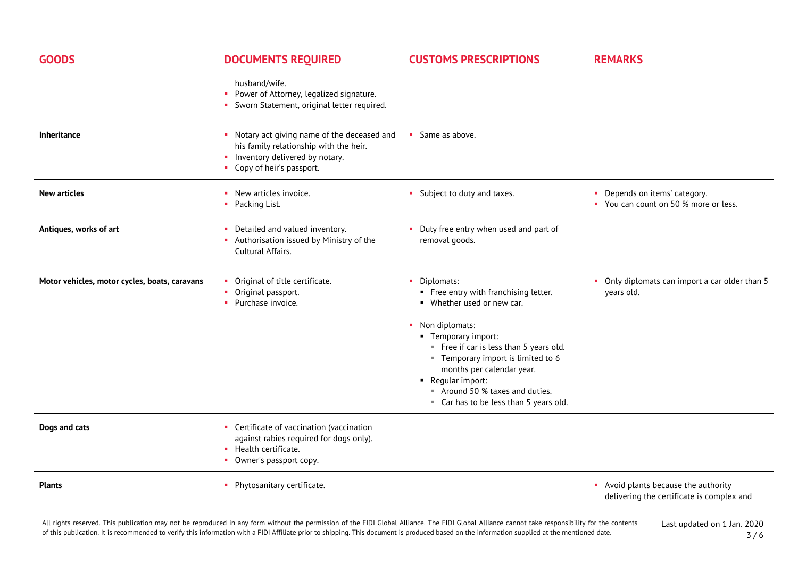| <b>GOODS</b>                                  | <b>DOCUMENTS REQUIRED</b>                                                                                                                                | <b>CUSTOMS PRESCRIPTIONS</b>                                                                                                                                                                                                                                                                                                             | <b>REMARKS</b>                                                                    |
|-----------------------------------------------|----------------------------------------------------------------------------------------------------------------------------------------------------------|------------------------------------------------------------------------------------------------------------------------------------------------------------------------------------------------------------------------------------------------------------------------------------------------------------------------------------------|-----------------------------------------------------------------------------------|
|                                               | husband/wife.<br>Power of Attorney, legalized signature.<br>• Sworn Statement, original letter required.                                                 |                                                                                                                                                                                                                                                                                                                                          |                                                                                   |
| <b>Inheritance</b>                            | • Notary act giving name of the deceased and<br>his family relationship with the heir.<br>• Inventory delivered by notary.<br>• Copy of heir's passport. | • Same as above.                                                                                                                                                                                                                                                                                                                         |                                                                                   |
| <b>New articles</b>                           | • New articles invoice.<br>• Packing List.                                                                                                               | • Subject to duty and taxes.                                                                                                                                                                                                                                                                                                             | Depends on items' category.<br>٠.<br>• You can count on 50 % more or less.        |
| Antiques, works of art                        | • Detailed and valued inventory.<br>Authorisation issued by Ministry of the<br>Cultural Affairs.                                                         | • Duty free entry when used and part of<br>removal goods.                                                                                                                                                                                                                                                                                |                                                                                   |
| Motor vehicles, motor cycles, boats, caravans | Original of title certificate.<br>• Original passport.<br>Purchase invoice.                                                                              | • Diplomats:<br>• Free entry with franchising letter.<br>• Whether used or new car.<br>• Non diplomats:<br>■ Temporary import:<br>Free if car is less than 5 years old.<br>" Temporary import is limited to 6<br>months per calendar year.<br>Reqular import:<br>Around 50 % taxes and duties.<br>" Car has to be less than 5 years old. | • Only diplomats can import a car older than 5<br>years old.                      |
| Dogs and cats                                 | Certificate of vaccination (vaccination<br>against rabies required for dogs only).<br>• Health certificate.<br>• Owner's passport copy.                  |                                                                                                                                                                                                                                                                                                                                          |                                                                                   |
| <b>Plants</b>                                 | • Phytosanitary certificate.                                                                                                                             |                                                                                                                                                                                                                                                                                                                                          | • Avoid plants because the authority<br>delivering the certificate is complex and |

All rights reserved. This publication may not be reproduced in any form without the permission of the FIDI Global Alliance. The FIDI Global Alliance cannot take responsibility for the contents of this publication. It is recommended to verify this information with a FIDI Affiliate prior to shipping. This document is produced based on the information supplied at the mentioned date.

Last updated on 1 Jan. 2020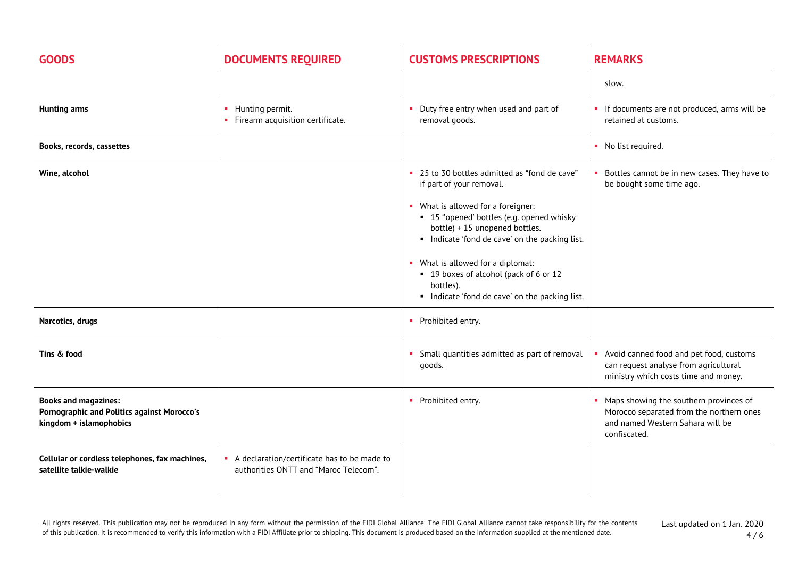| <b>GOODS</b>                                                                                                 | <b>DOCUMENTS REQUIRED</b>                                                            | <b>CUSTOMS PRESCRIPTIONS</b>                                                                                                                                                                                                                                                                                                                                                             | <b>REMARKS</b>                                                                                                                           |
|--------------------------------------------------------------------------------------------------------------|--------------------------------------------------------------------------------------|------------------------------------------------------------------------------------------------------------------------------------------------------------------------------------------------------------------------------------------------------------------------------------------------------------------------------------------------------------------------------------------|------------------------------------------------------------------------------------------------------------------------------------------|
|                                                                                                              |                                                                                      |                                                                                                                                                                                                                                                                                                                                                                                          | slow.                                                                                                                                    |
| <b>Hunting arms</b>                                                                                          | • Hunting permit.<br>• Firearm acquisition certificate.                              | Duty free entry when used and part of<br>removal goods.                                                                                                                                                                                                                                                                                                                                  | • If documents are not produced, arms will be<br>retained at customs.                                                                    |
| Books, records, cassettes                                                                                    |                                                                                      |                                                                                                                                                                                                                                                                                                                                                                                          | • No list required.                                                                                                                      |
| Wine, alcohol                                                                                                |                                                                                      | " 25 to 30 bottles admitted as "fond de cave"<br>if part of your removal.<br>• What is allowed for a foreigner:<br>• 15 "opened' bottles (e.g. opened whisky<br>bottle) + 15 unopened bottles.<br>Indicate 'fond de cave' on the packing list.<br>What is allowed for a diplomat:<br>• 19 boxes of alcohol (pack of 6 or 12<br>bottles).<br>Indicate 'fond de cave' on the packing list. | Bottles cannot be in new cases. They have to<br>п.<br>be bought some time ago.                                                           |
| Narcotics, drugs                                                                                             |                                                                                      | • Prohibited entry.                                                                                                                                                                                                                                                                                                                                                                      |                                                                                                                                          |
| Tins & food                                                                                                  |                                                                                      | • Small quantities admitted as part of removal<br>goods.                                                                                                                                                                                                                                                                                                                                 | Avoid canned food and pet food, customs<br>can request analyse from agricultural<br>ministry which costs time and money.                 |
| <b>Books and magazines:</b><br><b>Pornographic and Politics against Morocco's</b><br>kingdom + islamophobics |                                                                                      | • Prohibited entry.                                                                                                                                                                                                                                                                                                                                                                      | • Maps showing the southern provinces of<br>Morocco separated from the northern ones<br>and named Western Sahara will be<br>confiscated. |
| Cellular or cordless telephones, fax machines,<br>satellite talkie-walkie                                    | A declaration/certificate has to be made to<br>authorities ONTT and "Maroc Telecom". |                                                                                                                                                                                                                                                                                                                                                                                          |                                                                                                                                          |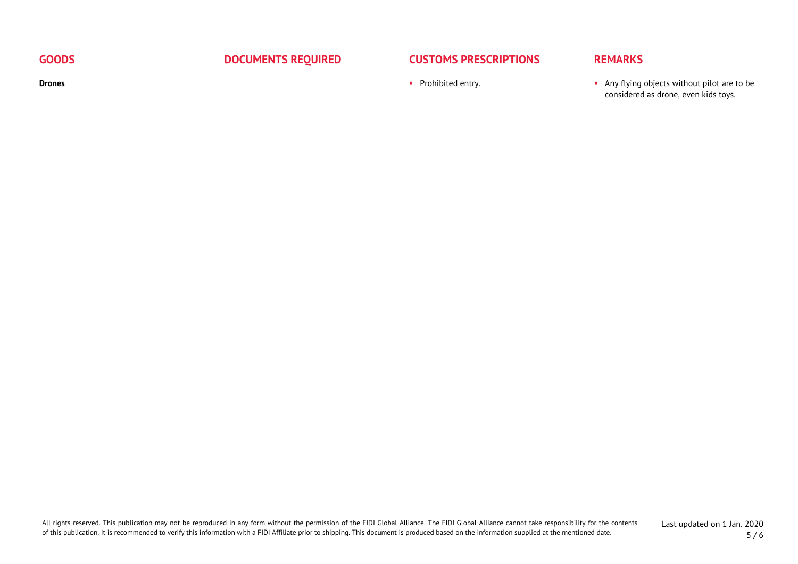| <b>GOODS</b>  | <b>DOCUMENTS REQUIRED</b> | <b>CUSTOMS PRESCRIPTIONS</b> | <b>REMARKS</b>                                                                     |
|---------------|---------------------------|------------------------------|------------------------------------------------------------------------------------|
| <b>Drones</b> |                           | Prohibited entry.            | Any flying objects without pilot are to be<br>considered as drone, even kids toys. |